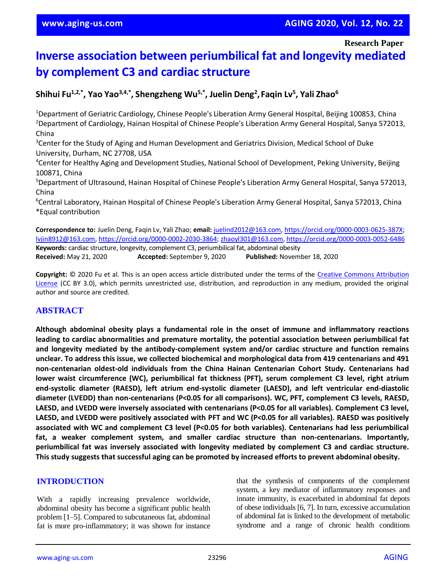**Research Paper**

# **Inverse association between periumbilical fat and longevity mediated by complement C3 and cardiac structure**

**Shihui Fu1,2,\* , Yao Yao3,4,\* , Shengzheng Wu5,\* , Juelin Deng<sup>2</sup> , Faqin Lv<sup>5</sup> , Yali Zhao<sup>6</sup>**

<sup>1</sup>Department of Geriatric Cardiology, Chinese People's Liberation Army General Hospital, Beijing 100853, China <sup>2</sup>Department of Cardiology, Hainan Hospital of Chinese People's Liberation Army General Hospital, Sanya 572013, China

<sup>3</sup>Center for the Study of Aging and Human Development and Geriatrics Division, Medical School of Duke University, Durham, NC 27708, USA

<sup>4</sup>Center for Healthy Aging and Development Studies, National School of Development, Peking University, Beijing 100871, China

<sup>5</sup>Department of Ultrasound, Hainan Hospital of Chinese People's Liberation Army General Hospital, Sanya 572013, China

<sup>6</sup>Central Laboratory, Hainan Hospital of Chinese People's Liberation Army General Hospital, Sanya 572013, China \*Equal contribution

**Correspondence to:** Juelin Deng, Faqin Lv, Yali Zhao; **email:** [juelind2012@163.com,](mailto:juelind2012@163.com) [https://orcid.org/0000-0003-0625-387X;](https://orcid.org/0000-0003-0625-387X) [lvjin8912@163.com,](mailto:lvjin8912@163.com) [https://orcid.org/0000-0002-2030-3864;](https://orcid.org/0000-0002-2030-3864) [zhaoyl301@163.com,](mailto:zhaoyl301@163.com)<https://orcid.org/0000-0003-0052-6486> **Keywords:** cardiac structure, longevity, complement C3, periumbilical fat, abdominal obesity **Received:** May 21, 2020 **Accepted:** September 9, 2020 **Published:** November 18, 2020

**Copyright:** © 2020 Fu et al. This is an open access article distributed under the terms of the [Creative Commons Attribution](https://creativecommons.org/licenses/by/3.0/)  [License](https://creativecommons.org/licenses/by/3.0/) (CC BY 3.0), which permits unrestricted use, distribution, and reproduction in any medium, provided the original author and source are credited.

# **ABSTRACT**

**Although abdominal obesity plays a fundamental role in the onset of immune and inflammatory reactions leading to cardiac abnormalities and premature mortality, the potential association between periumbilical fat and longevity mediated by the antibody-complement system and/or cardiac structure and function remains unclear. To address this issue, we collected biochemical and morphological data from 419 centenarians and 491 non-centenarian oldest-old individuals from the China Hainan Centenarian Cohort Study. Centenarians had lower waist circumference (WC), periumbilical fat thickness (PFT), serum complement C3 level, right atrium end-systolic diameter (RAESD), left atrium end-systolic diameter (LAESD), and left ventricular end-diastolic diameter (LVEDD) than non-centenarians (P<0.05 for all comparisons). WC, PFT, complement C3 levels, RAESD, LAESD, and LVEDD were inversely associated with centenarians (P<0.05 for all variables). Complement C3 level,** LAESD, and LVEDD were positively associated with PFT and WC (P<0.05 for all variables). RAESD was positively **associated with WC and complement C3 level (P<0.05 for both variables). Centenarians had less periumbilical fat, a weaker complement system, and smaller cardiac structure than non-centenarians. Importantly, periumbilical fat was inversely associated with longevity mediated by complement C3 and cardiac structure. This study suggests that successful aging can be promoted by increased efforts to prevent abdominal obesity.**

## **INTRODUCTION**

With a rapidly increasing prevalence worldwide, abdominal obesity has become a significant public health problem [1–5]. Compared to subcutaneous fat, abdominal fat is more pro-inflammatory; it was shown for instance that the synthesis of components of the complement system, a key mediator of inflammatory responses and innate immunity, is exacerbated in abdominal fat depots of obese individuals [6, 7]. In turn, excessive accumulation of abdominal fat is linked to the development of metabolic syndrome and a range of chronic health conditions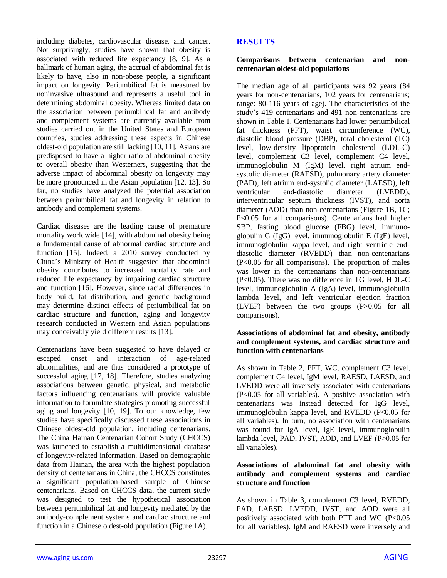including diabetes, cardiovascular disease, and cancer. Not surprisingly, studies have shown that obesity is associated with reduced life expectancy [8, 9]. As a hallmark of human aging, the accrual of abdominal fat is likely to have, also in non-obese people, a significant impact on longevity. Periumbilical fat is measured by noninvasive ultrasound and represents a useful tool in determining abdominal obesity. Whereas limited data on the association between periumbilical fat and antibody and complement systems are currently available from studies carried out in the United States and European countries, studies addressing these aspects in Chinese oldest-old population are still lacking [10, 11]. Asians are predisposed to have a higher ratio of abdominal obesity to overall obesity than Westerners, suggesting that the adverse impact of abdominal obesity on longevity may be more pronounced in the Asian population [12, 13]. So far, no studies have analyzed the potential association between periumbilical fat and longevity in relation to antibody and complement systems.

Cardiac diseases are the leading cause of premature mortality worldwide [14], with abdominal obesity being a fundamental cause of abnormal cardiac structure and function [15]. Indeed, a 2010 survey conducted by China's Ministry of Health suggested that abdominal obesity contributes to increased mortality rate and reduced life expectancy by impairing cardiac structure and function [16]. However, since racial differences in body build, fat distribution, and genetic background may determine distinct effects of periumbilical fat on cardiac structure and function, aging and longevity research conducted in Western and Asian populations may conceivably yield different results [13].

Centenarians have been suggested to have delayed or escaped onset and interaction of age-related abnormalities, and are thus considered a prototype of successful aging [17, 18]. Therefore, studies analyzing associations between genetic, physical, and metabolic factors influencing centenarians will provide valuable information to formulate strategies promoting successful aging and longevity [10, 19]. To our knowledge, few studies have specifically discussed these associations in Chinese oldest-old population, including centenarians. The China Hainan Centenarian Cohort Study (CHCCS) was launched to establish a multidimensional database of longevity-related information. Based on demographic data from Hainan, the area with the highest population density of centenarians in China, the CHCCS constitutes a significant population-based sample of Chinese centenarians. Based on CHCCS data, the current study was designed to test the hypothetical association between periumbilical fat and longevity mediated by the antibody-complement systems and cardiac structure and function in a Chinese oldest-old population (Figure 1A).

# **RESULTS**

#### **Comparisons between centenarian and noncentenarian oldest-old populations**

The median age of all participants was 92 years (84 years for non-centenarians, 102 years for centenarians; range: 80-116 years of age). The characteristics of the study's 419 centenarians and 491 non-centenarians are shown in Table 1. Centenarians had lower periumbilical fat thickness (PFT), waist circumference (WC), diastolic blood pressure (DBP), total cholesterol (TC) level, low-density lipoprotein cholesterol (LDL-C) level, complement C3 level, complement C4 level, immunoglobulin M (IgM) level, right atrium endsystolic diameter (RAESD), pulmonary artery diameter (PAD), left atrium end-systolic diameter (LAESD), left ventricular end-diastolic diameter (LVEDD), interventricular septum thickness (IVST), and aorta diameter (AOD) than non-centenarians (Figure 1B, 1C; P<0.05 for all comparisons). Centenarians had higher SBP, fasting blood glucose (FBG) level, immunoglobulin G (IgG) level, immunoglobulin E (IgE) level, immunoglobulin kappa level, and right ventricle enddiastolic diameter (RVEDD) than non-centenarians (P<0.05 for all comparisons). The proportion of males was lower in the centenarians than non-centenarians (P<0.05). There was no difference in TG level, HDL-C level, immunoglobulin A (IgA) level, immunoglobulin lambda level, and left ventricular ejection fraction (LVEF) between the two groups (P>0.05 for all comparisons).

#### **Associations of abdominal fat and obesity, antibody and complement systems, and cardiac structure and function with centenarians**

As shown in Table 2, PFT, WC, complement C3 level, complement C4 level, IgM level, RAESD, LAESD, and LVEDD were all inversely associated with centenarians (P<0.05 for all variables). A positive association with centenarians was instead detected for IgG level, immunoglobulin kappa level, and RVEDD (P<0.05 for all variables). In turn, no association with centenarians was found for IgA level, IgE level, immunoglobulin lambda level, PAD, IVST, AOD, and LVEF (P>0.05 for all variables).

#### **Associations of abdominal fat and obesity with antibody and complement systems and cardiac structure and function**

As shown in Table 3, complement C3 level, RVEDD, PAD, LAESD, LVEDD, IVST, and AOD were all positively associated with both PFT and WC (P<0.05 for all variables). IgM and RAESD were inversely and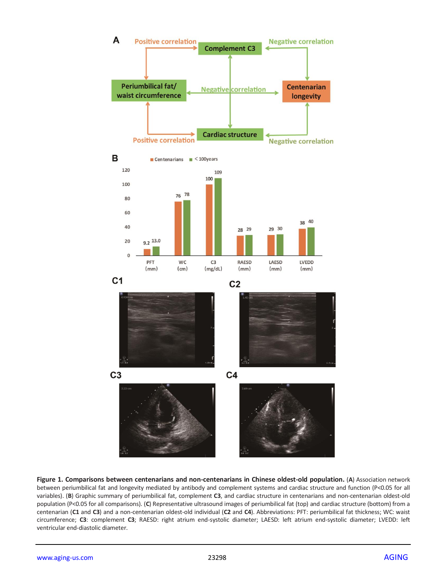

**Figure 1. Comparisons between centenarians and non-centenarians in Chinese oldest-old population.** (**A**) Association network between periumbilical fat and longevity mediated by antibody and complement systems and cardiac structure and function (P<0.05 for all variables). (**B**) Graphic summary of periumbilical fat, complement **C3**, and cardiac structure in centenarians and non-centenarian oldest-old population (P<0.05 for all comparisons). (**C**) Representative ultrasound images of periumbilical fat (top) and cardiac structure (bottom) from a centenarian (**C1** and **C3**) and a non-centenarian oldest-old individual (**C2** and **C4**). Abbreviations: PFT: periumbilical fat thickness; WC: waist circumference; **C3**: complement **C3**; RAESD: right atrium end-systolic diameter; LAESD: left atrium end-systolic diameter; LVEDD: left ventricular end-diastolic diameter.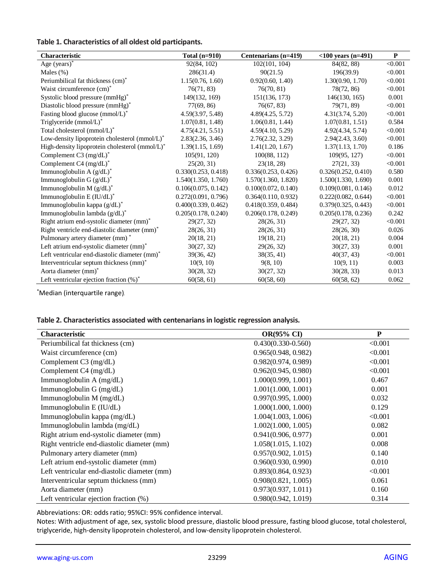#### **Table 1. Characteristics of all oldest old participants.**

| <b>Characteristic</b>                          | Total $(n=910)$     | Centenarians (n=419) | $<$ 100 years (n=491) | $\mathbf{P}$ |
|------------------------------------------------|---------------------|----------------------|-----------------------|--------------|
| Age $(years)^*$                                | 92(84, 102)         | 102(101, 104)        | 84(82, 88)            | < 0.001      |
| Males $(\%)$                                   | 286(31.4)           | 90(21.5)             | 196(39.9)             | < 0.001      |
| Periumbilical fat thickness (cm) <sup>*</sup>  | 1.15(0.76, 1.60)    | 0.92(0.60, 1.40)     | 1.30(0.90, 1.70)      | < 0.001      |
| Waist circumference (cm)*                      | 76(71, 83)          | 76(70, 81)           | 78(72, 86)            | < 0.001      |
| Systolic blood pressure (mmHg)*                | 149(132, 169)       | 151(136, 173)        | 146(130, 165)         | 0.001        |
| Diastolic blood pressure (mmHg)*               | 77(69, 86)          | 76(67, 83)           | 79(71, 89)            | < 0.001      |
| Fasting blood glucose (mmol/L)*                | 4.59(3.97, 5.48)    | 4.89(4.25, 5.72)     | 4.31(3.74, 5.20)      | < 0.001      |
| Triglyceride (mmol/L)*                         | 1.07(0.81, 1.48)    | 1.06(0.81, 1.44)     | 1.07(0.81, 1.51)      | 0.584        |
| Total cholesterol (mmol/L)*                    | 4.75(4.21, 5.51)    | 4.59(4.10, 5.29)     | 4.92(4.34, 5.74)      | < 0.001      |
| Low-density lipoprotein cholesterol (mmol/L)*  | 2.83(2.36, 3.46)    | 2.76(2.32, 3.29)     | 2.94(2.43, 3.60)      | < 0.001      |
| High-density lipoprotein cholesterol (mmol/L)* | 1.39(1.15, 1.69)    | 1.41(1.20, 1.67)     | 1.37(1.13, 1.70)      | 0.186        |
| Complement C3 $(mg/dL)^*$                      | 105(91, 120)        | 100(88, 112)         | 109(95, 127)          | < 0.001      |
| Complement C4 (mg/dL)*                         | 25(20, 31)          | 23(18, 28)           | 27(21, 33)            | < 0.001      |
| Immunoglobulin A $(g/dL)^*$                    | 0.330(0.253, 0.418) | 0.336(0.253, 0.426)  | 0.326(0.252, 0.410)   | 0.580        |
| Immunoglobulin G (g/dL)*                       | 1.540(1.350, 1.760) | 1.570(1.360, 1.820)  | 1.500(1.330, 1.690)   | 0.001        |
| Immunoglobulin M $(g/dL)^*$                    | 0.106(0.075, 0.142) | 0.100(0.072, 0.140)  | 0.109(0.081, 0.146)   | 0.012        |
| Immunoglobulin E (IU/dL)*                      | 0.272(0.091, 0.796) | 0.364(0.110, 0.932)  | 0.222(0.082, 0.644)   | < 0.001      |
| Immunoglobulin kappa $(g/dL)^*$                | 0.400(0.339, 0.462) | 0.418(0.359, 0.484)  | 0.379(0.325, 0.443)   | < 0.001      |
| Immunoglobulin lambda $(g/dL)^*$               | 0.205(0.178, 0.240) | 0.206(0.178, 0.249)  | 0.205(0.178, 0.236)   | 0.242        |
| Right atrium end-systolic diameter (mm)*       | 29(27, 32)          | 28(26, 31)           | 29(27, 32)            | < 0.001      |
| Right ventricle end-diastolic diameter (mm)*   | 28(26, 31)          | 28(26, 31)           | 28(26, 30)            | 0.026        |
| Pulmonary artery diameter (mm)*                | 20(18, 21)          | 19(18, 21)           | 20(18, 21)            | 0.004        |
| Left atrium end-systolic diameter (mm)*        | 30(27, 32)          | 29(26, 32)           | 30(27, 33)            | 0.001        |
| Left ventricular end-diastolic diameter (mm)*  | 39(36, 42)          | 38(35, 41)           | 40(37, 43)            | < 0.001      |
| Interventricular septum thickness (mm)*        | 10(9, 10)           | 9(8, 10)             | 10(9, 11)             | 0.003        |
| Aorta diameter (mm) <sup>*</sup>               | 30(28, 32)          | 30(27, 32)           | 30(28, 33)            | 0.013        |
| Left ventricular ejection fraction $(\%)^*$    | 60(58, 61)          | 60(58, 60)           | 60(58, 62)            | 0.062        |

\*Median (interquartile range).

#### **Table 2. Characteristics associated with centenariansin logistic regression analysis.**

| <b>Characteristic</b>                        | <b>OR(95% CI)</b>    | P       |
|----------------------------------------------|----------------------|---------|
| Periumbilical fat thickness (cm)             | $0.430(0.330-0.560)$ | < 0.001 |
| Waist circumference (cm)                     | 0.965(0.948, 0.982)  | < 0.001 |
| Complement C3 (mg/dL)                        | 0.982(0.974, 0.989)  | < 0.001 |
| Complement C4 (mg/dL)                        | 0.962(0.945, 0.980)  | < 0.001 |
| Immunoglobulin A (mg/dL)                     | 1.000(0.999, 1.001)  | 0.467   |
| Immunoglobulin G (mg/dL)                     | 1.001(1.000, 1.001)  | 0.001   |
| Immunoglobulin $M$ (mg/dL)                   | 0.997(0.995, 1.000)  | 0.032   |
| Immunoglobulin E (IU/dL)                     | 1.000(1.000, 1.000)  | 0.129   |
| Immunoglobulin kappa (mg/dL)                 | 1.004(1.003, 1.006)  | < 0.001 |
| Immunoglobulin lambda (mg/dL)                | 1.002(1.000, 1.005)  | 0.082   |
| Right atrium end-systolic diameter (mm)      | 0.941(0.906, 0.977)  | 0.001   |
| Right ventricle end-diastolic diameter (mm)  | 1.058(1.015, 1.102)  | 0.008   |
| Pulmonary artery diameter (mm)               | 0.957(0.902, 1.015)  | 0.140   |
| Left atrium end-systolic diameter (mm)       | 0.960(0.930, 0.990)  | 0.010   |
| Left ventricular end-diastolic diameter (mm) | 0.893(0.864, 0.923)  | < 0.001 |
| Interventricular septum thickness (mm)       | 0.908(0.821, 1.005)  | 0.061   |
| Aorta diameter (mm)                          | 0.973(0.937, 1.011)  | 0.160   |
| Left ventricular ejection fraction (%)       | 0.980(0.942, 1.019)  | 0.314   |

Abbreviations: OR: odds ratio; 95%CI: 95% confidence interval.

Notes: With adjustment of age, sex, systolic blood pressure, diastolic blood pressure, fasting blood glucose, total cholesterol, triglyceride, high-density lipoprotein cholesterol, and low-density lipoprotein cholesterol.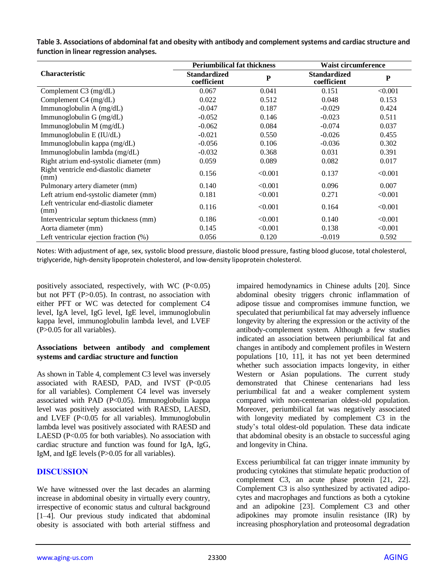|                                                 | <b>Periumbilical fat thickness</b> |         | <b>Waist circumference</b>         |         |  |  |
|-------------------------------------------------|------------------------------------|---------|------------------------------------|---------|--|--|
| <b>Characteristic</b>                           | <b>Standardized</b><br>coefficient | P       | <b>Standardized</b><br>coefficient | P       |  |  |
| Complement C3 (mg/dL)                           | 0.067                              | 0.041   | 0.151                              | < 0.001 |  |  |
| Complement C4 (mg/dL)                           | 0.022                              | 0.512   | 0.048                              | 0.153   |  |  |
| Immunoglobulin A (mg/dL)                        | $-0.047$                           | 0.187   | $-0.029$                           | 0.424   |  |  |
| Immunoglobulin G (mg/dL)                        | $-0.052$                           | 0.146   | $-0.023$                           | 0.511   |  |  |
| Immunoglobulin M (mg/dL)                        | $-0.062$                           | 0.084   | $-0.074$                           | 0.037   |  |  |
| Immunoglobulin E (IU/dL)                        | $-0.021$                           | 0.550   | $-0.026$                           | 0.455   |  |  |
| Immunoglobulin kappa (mg/dL)                    | $-0.056$                           | 0.106   | $-0.036$                           | 0.302   |  |  |
| Immunoglobulin lambda (mg/dL)                   | $-0.032$                           | 0.368   | 0.031                              | 0.391   |  |  |
| Right atrium end-systolic diameter (mm)         | 0.059                              | 0.089   | 0.082                              | 0.017   |  |  |
| Right ventricle end-diastolic diameter<br>(mm)  | 0.156                              | < 0.001 | 0.137                              | < 0.001 |  |  |
| Pulmonary artery diameter (mm)                  | 0.140                              | < 0.001 | 0.096                              | 0.007   |  |  |
| Left atrium end-systolic diameter (mm)          | 0.181                              | < 0.001 | 0.271                              | < 0.001 |  |  |
| Left ventricular end-diastolic diameter<br>(mm) | 0.116                              | < 0.001 | 0.164                              | < 0.001 |  |  |
| Interventricular septum thickness (mm)          | 0.186                              | < 0.001 | 0.140                              | < 0.001 |  |  |
| Aorta diameter (mm)                             | 0.145                              | < 0.001 | 0.138                              | < 0.001 |  |  |
| Left ventricular ejection fraction $(\%)$       | 0.056                              | 0.120   | $-0.019$                           | 0.592   |  |  |
|                                                 |                                    |         |                                    |         |  |  |

**Table 3. Associations of abdominal fat and obesity with antibody and complement systems and cardiac structure and function in linear regression analyses.**

Notes: With adjustment of age, sex, systolic blood pressure, diastolic blood pressure, fasting blood glucose, total cholesterol, triglyceride, high-density lipoprotein cholesterol, and low-density lipoprotein cholesterol.

positively associated, respectively, with WC  $(P<0.05)$ but not PFT (P>0.05). In contrast, no association with either PFT or WC was detected for complement C4 level, IgA level, IgG level, IgE level, immunoglobulin kappa level, immunoglobulin lambda level, and LVEF (P>0.05 for all variables).

#### **Associations between antibody and complement systems and cardiac structure and function**

As shown in Table 4, complement C3 level was inversely associated with RAESD, PAD, and IVST (P<0.05 for all variables). Complement C4 level was inversely associated with PAD (P<0.05). Immunoglobulin kappa level was positively associated with RAESD, LAESD, and LVEF (P<0.05 for all variables). Immunoglobulin lambda level was positively associated with RAESD and LAESD (P<0.05 for both variables). No association with cardiac structure and function was found for IgA, IgG, IgM, and IgE levels (P>0.05 for all variables).

# **DISCUSSION**

We have witnessed over the last decades an alarming increase in abdominal obesity in virtually every country, irrespective of economic status and cultural background [1–4]. Our previous study indicated that abdominal obesity is associated with both arterial stiffness and impaired hemodynamics in Chinese adults [20]. Since abdominal obesity triggers chronic inflammation of adipose tissue and compromises immune function, we speculated that periumbilical fat may adversely influence longevity by altering the expression or the activity of the antibody-complement system. Although a few studies indicated an association between periumbilical fat and changes in antibody and complement profiles in Western populations [10, 11], it has not yet been determined whether such association impacts longevity, in either Western or Asian populations. The current study demonstrated that Chinese centenarians had less periumbilical fat and a weaker complement system compared with non-centenarian oldest-old population. Moreover, periumbilical fat was negatively associated with longevity mediated by complement C3 in the study's total oldest-old population. These data indicate that abdominal obesity is an obstacle to successful aging and longevity in China.

Excess periumbilical fat can trigger innate immunity by producing cytokines that stimulate hepatic production of complement C3, an acute phase protein [21, 22]. Complement C3 is also synthesized by activated adipocytes and macrophages and functions as both a cytokine and an adipokine [23]. Complement C3 and other adipokines may promote insulin resistance (IR) by increasing phosphorylation and proteosomal degradation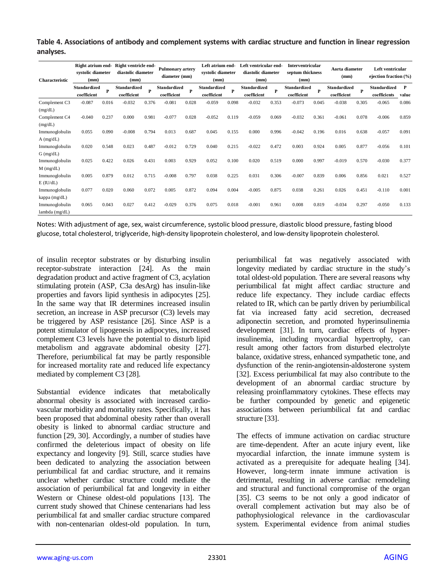| Table 4. Associations of antibody and complement systems with cardiac structure and function in linear regression |  |
|-------------------------------------------------------------------------------------------------------------------|--|
| analyses.                                                                                                         |  |

| Characteristic | systolic diameter<br>(mm)          |       | Right atrium end-Right ventricle end-<br>diastolic diameter<br>(mm) |       | <b>Pulmonary artery</b><br>diameter (mm) |       | Left atrium end-<br>systolic diameter<br>(mm) |       | Left ventricular end-<br>diastolic diameter<br>(mm) |       | <b>Interventricular</b><br>septum thickness<br>(mm) |       | Aorta diameter<br>(mm)      |       | Left ventricular<br>ejection fraction (%) |            |
|----------------|------------------------------------|-------|---------------------------------------------------------------------|-------|------------------------------------------|-------|-----------------------------------------------|-------|-----------------------------------------------------|-------|-----------------------------------------------------|-------|-----------------------------|-------|-------------------------------------------|------------|
|                | <b>Standardized</b><br>coefficient | P     | Standardized<br>coefficient                                         | P     | Standardized<br>coefficient              | P     | <b>Standardized</b><br>coefficient            | P     | Standardized<br>coefficient                         | P     | Standardized<br>coefficient                         | P     | Standardized<br>coefficient | P     | Standardized<br>coefficients              | P<br>value |
| Complement C3  | $-0.087$                           | 0.016 | $-0.032$                                                            | 0.376 | $-0.081$                                 | 0.028 | $-0.059$                                      | 0.098 | $-0.032$                                            | 0.353 | $-0.073$                                            | 0.045 | $-0.038$                    | 0.305 | $-0.065$                                  | 0.086      |
| (mg/dL)        |                                    |       |                                                                     |       |                                          |       |                                               |       |                                                     |       |                                                     |       |                             |       |                                           |            |
| Complement C4  | $-0.040$                           | 0.237 | 0.000                                                               | 0.981 | $-0.077$                                 | 0.028 | $-0.052$                                      | 0.119 | $-0.059$                                            | 0.069 | $-0.032$                                            | 0.361 | $-0.061$                    | 0.078 | $-0.006$                                  | 0.859      |
| (mg/dL)        |                                    |       |                                                                     |       |                                          |       |                                               |       |                                                     |       |                                                     |       |                             |       |                                           |            |
| Immunoglobulin | 0.055                              | 0.090 | $-0.008$                                                            | 0.794 | 0.013                                    | 0.687 | 0.045                                         | 0.155 | 0.000                                               | 0.996 | $-0.042$                                            | 0.196 | 0.016                       | 0.638 | $-0.057$                                  | 0.091      |
| $A$ (mg/dL)    |                                    |       |                                                                     |       |                                          |       |                                               |       |                                                     |       |                                                     |       |                             |       |                                           |            |
| Immunoglobulin | 0.020                              | 0.548 | 0.023                                                               | 0.487 | $-0.012$                                 | 0.729 | 0.040                                         | 0.215 | $-0.022$                                            | 0.472 | 0.003                                               | 0.924 | 0.005                       | 0.877 | $-0.056$                                  | 0.101      |
| $G$ (mg/dL)    |                                    |       |                                                                     |       |                                          |       |                                               |       |                                                     |       |                                                     |       |                             |       |                                           |            |
| Immunoglobulin | 0.025                              | 0.422 | 0.026                                                               | 0.431 | 0.003                                    | 0.929 | 0.052                                         | 0.100 | 0.020                                               | 0.519 | 0.000                                               | 0.997 | $-0.019$                    | 0.570 | $-0.030$                                  | 0.377      |
| $M$ (mg/dL)    |                                    |       |                                                                     |       |                                          |       |                                               |       |                                                     |       |                                                     |       |                             |       |                                           |            |
| Immunoglobulin | 0.005                              | 0.879 | 0.012                                                               | 0.715 | $-0.008$                                 | 0.797 | 0.038                                         | 0.225 | 0.031                                               | 0.306 | $-0.007$                                            | 0.839 | 0.006                       | 0.856 | 0.021                                     | 0.527      |
| $E$ (IU/dL)    |                                    |       |                                                                     |       |                                          |       |                                               |       |                                                     |       |                                                     |       |                             |       |                                           |            |
| Immunoglobulin | 0.077                              | 0.020 | 0.060                                                               | 0.072 | 0.005                                    | 0.872 | 0.094                                         | 0.004 | $-0.005$                                            | 0.875 | 0.038                                               | 0.261 | 0.026                       | 0.451 | $-0.110$                                  | 0.001      |
| kappa (mg/dL)  |                                    |       |                                                                     |       |                                          |       |                                               |       |                                                     |       |                                                     |       |                             |       |                                           |            |
| Immunoglobulin | 0.065                              | 0.043 | 0.027                                                               | 0.412 | $-0.029$                                 | 0.376 | 0.075                                         | 0.018 | $-0.001$                                            | 0.961 | 0.008                                               | 0.819 | $-0.034$                    | 0.297 | $-0.050$                                  | 0.133      |
| lambda (mg/dL) |                                    |       |                                                                     |       |                                          |       |                                               |       |                                                     |       |                                                     |       |                             |       |                                           |            |

Notes: With adjustment of age, sex, waist circumference, systolic blood pressure, diastolic blood pressure, fasting blood glucose, total cholesterol, triglyceride, high-density lipoprotein cholesterol, and low-density lipoprotein cholesterol.

of insulin receptor substrates or by disturbing insulin receptor-substrate interaction [24]. As the main degradation product and active fragment of C3, acylation stimulating protein (ASP, C3a desArg) has insulin-like properties and favors lipid synthesis in adipocytes [25]. In the same way that IR determines increased insulin secretion, an increase in ASP precursor (C3) levels may be triggered by ASP resistance [26]. Since ASP is a potent stimulator of lipogenesis in adipocytes, increased complement C3 levels have the potential to disturb lipid metabolism and aggravate abdominal obesity [27]. Therefore, periumbilical fat may be partly responsible for increased mortality rate and reduced life expectancy mediated by complement C3 [28].

Substantial evidence indicates that metabolically abnormal obesity is associated with increased cardiovascular morbidity and mortality rates. Specifically, it has been proposed that abdominal obesity rather than overall obesity is linked to abnormal cardiac structure and function [29, 30]. Accordingly, a number of studies have confirmed the deleterious impact of obesity on life expectancy and longevity [9]. Still, scarce studies have been dedicated to analyzing the association between periumbilical fat and cardiac structure, and it remains unclear whether cardiac structure could mediate the association of periumbilical fat and longevity in either Western or Chinese oldest-old populations [13]. The current study showed that Chinese centenarians had less periumbilical fat and smaller cardiac structure compared with non-centenarian oldest-old population. In turn,

periumbilical fat was negatively associated with longevity mediated by cardiac structure in the study's total oldest-old population. There are several reasons why periumbilical fat might affect cardiac structure and reduce life expectancy. They include cardiac effects related to IR, which can be partly driven by periumbilical fat via increased fatty acid secretion, decreased adiponectin secretion, and promoted hyperinsulinemia development [31]. In turn, cardiac effects of hyperinsulinemia, including myocardial hypertrophy, can result among other factors from disturbed electrolyte balance, oxidative stress, enhanced sympathetic tone, and dysfunction of the renin-angiotensin-aldosterone system [32]. Excess periumbilical fat may also contribute to the development of an abnormal cardiac structure by releasing proinflammatory cytokines. These effects may be further compounded by genetic and epigenetic associations between periumbilical fat and cardiac structure [33].

The effects of immune activation on cardiac structure are time-dependent. After an acute injury event, like myocardial infarction, the innate immune system is activated as a prerequisite for adequate healing [34]. However, long-term innate immune activation is detrimental, resulting in adverse cardiac remodeling and structural and functional compromise of the organ [35]. C3 seems to be not only a good indicator of overall complement activation but may also be of pathophysiological relevance in the cardiovascular system. Experimental evidence from animal studies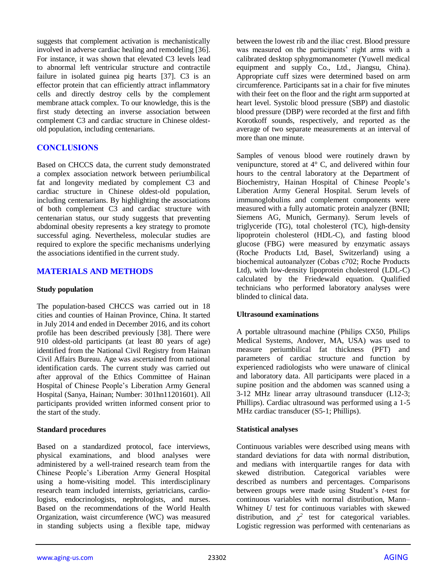suggests that complement activation is mechanistically involved in adverse cardiac healing and remodeling [36]. For instance, it was shown that elevated C3 levels lead to abnormal left ventricular structure and contractile failure in isolated guinea pig hearts [37]. C3 is an effector protein that can efficiently attract inflammatory cells and directly destroy cells by the complement membrane attack complex. To our knowledge, this is the first study detecting an inverse association between complement C3 and cardiac structure in Chinese oldestold population, including centenarians.

# **CONCLUSIONS**

Based on CHCCS data, the current study demonstrated a complex association network between periumbilical fat and longevity mediated by complement C3 and cardiac structure in Chinese oldest-old population, including centenarians. By highlighting the associations of both complement C3 and cardiac structure with centenarian status, our study suggests that preventing abdominal obesity represents a key strategy to promote successful aging. Nevertheless, molecular studies are required to explore the specific mechanisms underlying the associations identified in the current study.

# **MATERIALS AND METHODS**

#### **Study population**

The population-based CHCCS was carried out in 18 cities and counties of Hainan Province, China. It started in July 2014 and ended in December 2016, and its cohort profile has been described previously [38]. There were 910 oldest-old participants (at least 80 years of age) identified from the National Civil Registry from Hainan Civil Affairs Bureau. Age was ascertained from national identification cards. The current study was carried out after approval of the Ethics Committee of Hainan Hospital of Chinese People's Liberation Army General Hospital (Sanya, Hainan; Number: 301hn11201601). All participants provided written informed consent prior to the start of the study.

### **Standard procedures**

Based on a standardized protocol, face interviews, physical examinations, and blood analyses were administered by a well-trained research team from the Chinese People's Liberation Army General Hospital using a home-visiting model. This interdisciplinary research team included internists, geriatricians, cardiologists, endocrinologists, nephrologists, and nurses. Based on the recommendations of the World Health Organization, waist circumference (WC) was measured in standing subjects using a flexible tape, midway between the lowest rib and the iliac crest. Blood pressure was measured on the participants' right arms with a calibrated desktop sphygmomanometer (Yuwell medical equipment and supply Co., Ltd., Jiangsu, China). Appropriate cuff sizes were determined based on arm circumference. Participants sat in a chair for five minutes with their feet on the floor and the right arm supported at heart level. Systolic blood pressure (SBP) and diastolic blood pressure (DBP) were recorded at the first and fifth Korotkoff sounds, respectively, and reported as the average of two separate measurements at an interval of more than one minute.

Samples of venous blood were routinely drawn by venipuncture, stored at 4° C, and delivered within four hours to the central laboratory at the Department of Biochemistry, Hainan Hospital of Chinese People's Liberation Army General Hospital. Serum levels of immunoglobulins and complement components were measured with a fully automatic protein analyzer (BNII; Siemens AG, Munich, Germany). Serum levels of triglyceride (TG), total cholesterol (TC), high-density lipoprotein cholesterol (HDL-C), and fasting blood glucose (FBG) were measured by enzymatic assays (Roche Products Ltd, Basel, Switzerland) using a biochemical autoanalyzer (Cobas c702; Roche Products Ltd), with low-density lipoprotein cholesterol (LDL-C) calculated by the Friedewald equation. Qualified technicians who performed laboratory analyses were blinded to clinical data.

### **Ultrasound examinations**

A portable ultrasound machine (Philips CX50, Philips Medical Systems, Andover, MA, USA) was used to measure periumbilical fat thickness (PFT) and parameters of cardiac structure and function by experienced radiologists who were unaware of clinical and laboratory data. All participants were placed in a supine position and the abdomen was scanned using a 3-12 MHz linear array ultrasound transducer (L12-3; Phillips). Cardiac ultrasound was performed using a 1-5 MHz cardiac transducer (S5-1; Phillips).

### **Statistical analyses**

Continuous variables were described using means with standard deviations for data with normal distribution, and medians with interquartile ranges for data with skewed distribution. Categorical variables were described as numbers and percentages. Comparisons between groups were made using Student's *t*-test for continuous variables with normal distribution, Mann– Whitney *U* test for continuous variables with skewed distribution, and  $\chi^2$  test for categorical variables. Logistic regression was performed with centenarians as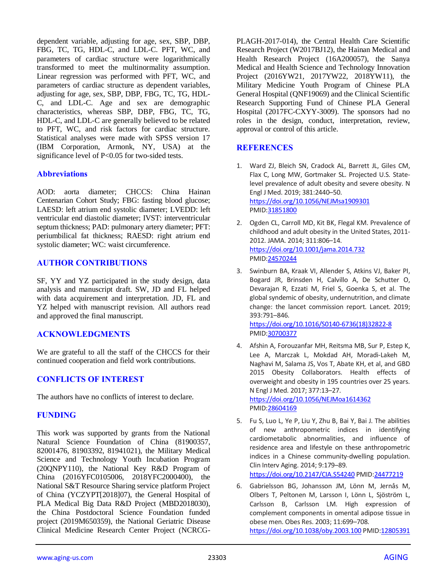dependent variable, adjusting for age, sex, SBP, DBP, FBG, TC, TG, HDL-C, and LDL-C. PFT, WC, and parameters of cardiac structure were logarithmically transformed to meet the multinormality assumption. Linear regression was performed with PFT, WC, and parameters of cardiac structure as dependent variables, adjusting for age, sex, SBP, DBP, FBG, TC, TG, HDL-C, and LDL-C. Age and sex are demographic characteristics, whereas SBP, DBP, FBG, TC, TG, HDL-C, and LDL-C are generally believed to be related to PFT, WC, and risk factors for cardiac structure. Statistical analyses were made with SPSS version 17 (IBM Corporation, Armonk, NY, USA) at the significance level of P<0.05 for two-sided tests.

## **Abbreviations**

AOD: aorta diameter; CHCCS: China Hainan Centenarian Cohort Study; FBG: fasting blood glucose; LAESD: left atrium end systolic diameter; LVEDD: left ventricular end diastolic diameter; IVST: interventricular septum thickness; PAD: pulmonary artery diameter; PFT: periumbilical fat thickness; RAESD: right atrium end systolic diameter; WC: waist circumference.

# **AUTHOR CONTRIBUTIONS**

SF, YY and YZ participated in the study design, data analysis and manuscript draft. SW, JD and FL helped with data acquirement and interpretation. JD, FL and YZ helped with manuscript revision. All authors read and approved the final manuscript.

# **ACKNOWLEDGMENTS**

We are grateful to all the staff of the CHCCS for their continued cooperation and field work contributions.

# **CONFLICTS OF INTEREST**

The authors have no conflicts of interest to declare.

### **FUNDING**

This work was supported by grants from the National Natural Science Foundation of China (81900357, 82001476, 81903392, 81941021), the Military Medical Science and Technology Youth Incubation Program (20QNPY110), the National Key R&D Program of China (2016YFC0105006, 2018YFC2000400), the National S&T Resource Sharing service platform Project of China (YCZYPT[2018]07), the General Hospital of PLA Medical Big Data R&D Project (MBD2018030), the China Postdoctoral Science Foundation funded project (2019M650359), the National Geriatric Disease Clinical Medicine Research Center Project (NCRCG-

PLAGH-2017-014), the Central Health Care Scientific Research Project (W2017BJ12), the Hainan Medical and Health Research Project (16A200057), the Sanya Medical and Health Science and Technology Innovation Project (2016YW21, 2017YW22, 2018YW11), the Military Medicine Youth Program of Chinese PLA General Hospital (QNF19069) and the Clinical Scientific Research Supporting Fund of Chinese PLA General Hospital (2017FC-CXYY-3009). The sponsors had no roles in the design, conduct, interpretation, review, approval or control of this article.

## **REFERENCES**

- 1. Ward ZJ, Bleich SN, Cradock AL, Barrett JL, Giles CM, Flax C, Long MW, Gortmaker SL. Projected U.S. Statelevel prevalence of adult obesity and severe obesity. N Engl J Med. 2019; 381:2440–50. <https://doi.org/10.1056/NEJMsa1909301> PMI[D:31851800](https://pubmed.ncbi.nlm.nih.gov/31851800)
- 2. Ogden CL, Carroll MD, Kit BK, Flegal KM. Prevalence of childhood and adult obesity in the United States, 2011- 2012. JAMA. 2014; 311:806–14. <https://doi.org/10.1001/jama.2014.732> PMI[D:24570244](https://pubmed.ncbi.nlm.nih.gov/24570244)
- 3. Swinburn BA, Kraak VI, Allender S, Atkins VJ, Baker PI, Bogard JR, Brinsden H, Calvillo A, De Schutter O, Devarajan R, Ezzati M, Friel S, Goenka S, et al. The global syndemic of obesity, undernutrition, and climate change: the lancet commission report. Lancet. 2019; 393:791–846. [https://doi.org/10.1016/S0140-6736\(18\)32822-8](https://doi.org/10.1016/S0140-6736(18)32822-8) PMI[D:30700377](https://pubmed.ncbi.nlm.nih.gov/30700377)
- 4. Afshin A, Forouzanfar MH, Reitsma MB, Sur P, Estep K, Lee A, Marczak L, Mokdad AH, Moradi-Lakeh M, Naghavi M, Salama JS, Vos T, Abate KH, et al, and GBD 2015 Obesity Collaborators. Health effects of overweight and obesity in 195 countries over 25 years. N Engl J Med. 2017; 377:13–27. <https://doi.org/10.1056/NEJMoa1614362> PMI[D:28604169](https://pubmed.ncbi.nlm.nih.gov/28604169)
- 5. Fu S, Luo L, Ye P, Liu Y, Zhu B, Bai Y, Bai J. The abilities of new anthropometric indices in identifying cardiometabolic abnormalities, and influence of residence area and lifestyle on these anthropometric indices in a Chinese community-dwelling population. Clin Interv Aging. 2014; 9:179–89.

<https://doi.org/10.2147/CIA.S54240> PMI[D:24477219](https://pubmed.ncbi.nlm.nih.gov/24477219)

6. Gabrielsson BG, Johansson JM, Lönn M, Jernås M, Olbers T, Peltonen M, Larsson I, Lönn L, Sjöström L, Carlsson B, Carlsson LM. High expression of complement components in omental adipose tissue in obese men. Obes Res. 2003; 11:699–708. <https://doi.org/10.1038/oby.2003.100> PMI[D:12805391](https://pubmed.ncbi.nlm.nih.gov/12805391)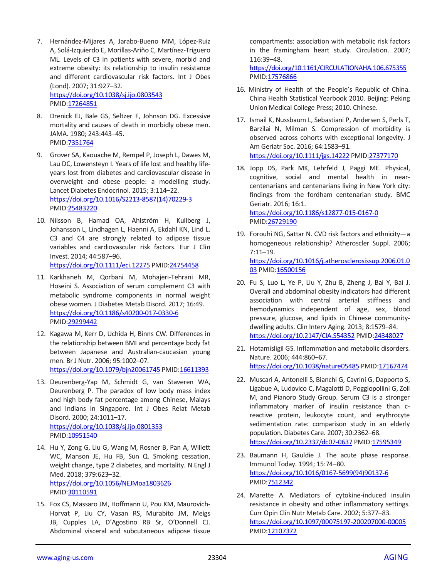7. Hernández-Mijares A, Jarabo-Bueno MM, López-Ruiz A, Solá-Izquierdo E, Morillas-Ariño C, Martínez-Triguero ML. Levels of C3 in patients with severe, morbid and extreme obesity: its relationship to insulin resistance and different cardiovascular risk factors. Int J Obes (Lond). 2007; 31:927–32. <https://doi.org/10.1038/sj.ijo.0803543>

PMID[:17264851](https://pubmed.ncbi.nlm.nih.gov/17264851)

- 8. Drenick EJ, Bale GS, Seltzer F, Johnson DG. Excessive mortality and causes of death in morbidly obese men. JAMA. 1980; 243:443–45. PMID[:7351764](https://pubmed.ncbi.nlm.nih.gov/7351764)
- 9. Grover SA, Kaouache M, Rempel P, Joseph L, Dawes M, Lau DC, Lowensteyn I. Years of life lost and healthy lifeyears lost from diabetes and cardiovascular disease in overweight and obese people: a modelling study. Lancet Diabetes Endocrinol. 2015; 3:114–22. [https://doi.org/10.1016/S2213-8587\(14\)70229-3](https://doi.org/10.1016/S2213-8587(14)70229-3) PMID[:25483220](https://pubmed.ncbi.nlm.nih.gov/25483220)
- 10. Nilsson B, Hamad OA, Ahlström H, Kullberg J, Johansson L, Lindhagen L, Haenni A, Ekdahl KN, Lind L. C3 and C4 are strongly related to adipose tissue variables and cardiovascular risk factors. Eur J Clin Invest. 2014; 44:587–96. <https://doi.org/10.1111/eci.12275> PMID[:24754458](https://pubmed.ncbi.nlm.nih.gov/24754458)
- 11. Karkhaneh M, Qorbani M, Mohajeri-Tehrani MR, Hoseini S. Association of serum complement C3 with metabolic syndrome components in normal weight obese women. J Diabetes Metab Disord. 2017; 16:49. <https://doi.org/10.1186/s40200-017-0330-6> PMID[:29299442](https://pubmed.ncbi.nlm.nih.gov/29299442)
- 12. Kagawa M, Kerr D, Uchida H, Binns CW. Differences in the relationship between BMI and percentage body fat between Japanese and Australian-caucasian young men. Br J Nutr. 2006; 95:1002–07. <https://doi.org/10.1079/bjn20061745> PMID[:16611393](https://pubmed.ncbi.nlm.nih.gov/16611393)
- 13. Deurenberg-Yap M, Schmidt G, van Staveren WA, Deurenberg P. The paradox of low body mass index and high body fat percentage among Chinese, Malays and Indians in Singapore. Int J Obes Relat Metab Disord. 2000; 24:1011–17.

<https://doi.org/10.1038/sj.ijo.0801353> PMID[:10951540](https://pubmed.ncbi.nlm.nih.gov/10951540)

- 14. Hu Y, Zong G, Liu G, Wang M, Rosner B, Pan A, Willett WC, Manson JE, Hu FB, Sun Q. Smoking cessation, weight change, type 2 diabetes, and mortality. N Engl J Med. 2018; 379:623–32. <https://doi.org/10.1056/NEJMoa1803626> PMID[:30110591](https://pubmed.ncbi.nlm.nih.gov/30110591)
- 15. Fox CS, Massaro JM, Hoffmann U, Pou KM, Maurovich-Horvat P, Liu CY, Vasan RS, Murabito JM, Meigs JB, Cupples LA, D'Agostino RB Sr, O'Donnell CJ. Abdominal visceral and subcutaneous adipose tissue

compartments: association with metabolic risk factors in the framingham heart study. Circulation. 2007; 116:39–48.

<https://doi.org/10.1161/CIRCULATIONAHA.106.675355> PMI[D:17576866](https://pubmed.ncbi.nlm.nih.gov/17576866)

- 16. Ministry of Health of the People's Republic of China. China Health Statistical Yearbook 2010. Beijing: Peking Union Medical College Press; 2010. Chinese.
- 17. Ismail K, Nussbaum L, Sebastiani P, Andersen S, Perls T, Barzilai N, Milman S. Compression of morbidity is observed across cohorts with exceptional longevity. J Am Geriatr Soc. 2016; 64:1583–91. <https://doi.org/10.1111/jgs.14222> PMI[D:27377170](https://pubmed.ncbi.nlm.nih.gov/27377170)
- 18. Jopp DS, Park MK, Lehrfeld J, Paggi ME. Physical, cognitive, social and mental health in nearcentenarians and centenarians living in New York city: findings from the fordham centenarian study. BMC Geriatr. 2016; 16:1. <https://doi.org/10.1186/s12877-015-0167-0>

PMI[D:26729190](https://pubmed.ncbi.nlm.nih.gov/26729190)

- 19. Forouhi NG, Sattar N. CVD risk factors and ethnicity—a homogeneous relationship? Atheroscler Suppl. 2006; 7:11–19. [https://doi.org/10.1016/j.atherosclerosissup.2006.01.0](https://doi.org/10.1016/j.atherosclerosissup.2006.01.003) [03](https://doi.org/10.1016/j.atherosclerosissup.2006.01.003) PMI[D:16500156](https://pubmed.ncbi.nlm.nih.gov/16500156)
- 20. Fu S, Luo L, Ye P, Liu Y, Zhu B, Zheng J, Bai Y, Bai J. Overall and abdominal obesity indicators had different association with central arterial stiffness and hemodynamics independent of age, sex, blood pressure, glucose, and lipids in Chinese communitydwelling adults. Clin Interv Aging. 2013; 8:1579–84. <https://doi.org/10.2147/CIA.S54352> PMI[D:24348027](https://pubmed.ncbi.nlm.nih.gov/24348027)
- 21. Hotamisligil GS. Inflammation and metabolic disorders. Nature. 2006; 444:860–67. <https://doi.org/10.1038/nature05485> PMI[D:17167474](https://pubmed.ncbi.nlm.nih.gov/17167474)
- 22. Muscari A, Antonelli S, Bianchi G, Cavrini G, Dapporto S, Ligabue A, Ludovico C, Magalotti D, Poggiopollini G, Zoli M, and Pianoro Study Group. Serum C3 is a stronger inflammatory marker of insulin resistance than creactive protein, leukocyte count, and erythrocyte sedimentation rate: comparison study in an elderly population. Diabetes Care. 2007; 30:2362–68. <https://doi.org/10.2337/dc07-0637> PMI[D:17595349](https://pubmed.ncbi.nlm.nih.gov/17595349)
- 23. Baumann H, Gauldie J. The acute phase response. Immunol Today. 1994; 15:74–80. [https://doi.org/10.1016/0167-5699\(94\)90137-6](https://doi.org/10.1016/0167-5699(94)90137-6) PMI[D:7512342](https://pubmed.ncbi.nlm.nih.gov/7512342)
- 24. Marette A. Mediators of cytokine-induced insulin resistance in obesity and other inflammatory settings. Curr Opin Clin Nutr Metab Care. 2002; 5:377–83. <https://doi.org/10.1097/00075197-200207000-00005> PMI[D:12107372](https://pubmed.ncbi.nlm.nih.gov/12107372)